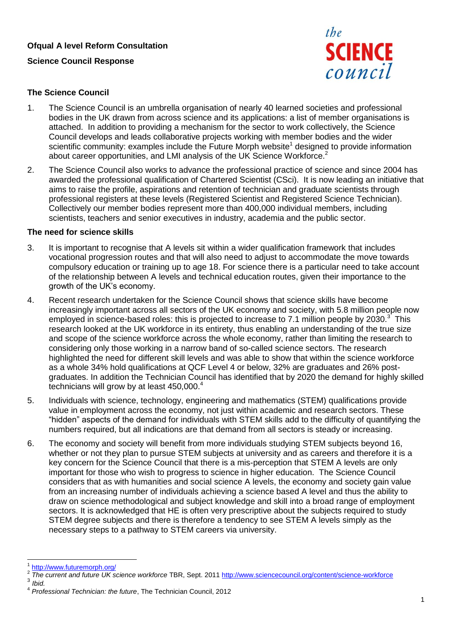## **Ofqual A level Reform Consultation**

### **Science Council Response**



### **The Science Council**

- 1. The Science Council is an umbrella organisation of nearly 40 learned societies and professional bodies in the UK drawn from across science and its applications: a list of member organisations is attached. In addition to providing a mechanism for the sector to work collectively, the Science Council develops and leads collaborative projects working with member bodies and the wider scientific community: examples include the Future Morph website<sup>1</sup> designed to provide information about career opportunities, and LMI analysis of the UK Science Workforce.<sup>2</sup>
- 2. The Science Council also works to advance the professional practice of science and since 2004 has awarded the professional qualification of Chartered Scientist (CSci). It is now leading an initiative that aims to raise the profile, aspirations and retention of technician and graduate scientists through professional registers at these levels (Registered Scientist and Registered Science Technician). Collectively our member bodies represent more than 400,000 individual members, including scientists, teachers and senior executives in industry, academia and the public sector.

#### **The need for science skills**

- 3. It is important to recognise that A levels sit within a wider qualification framework that includes vocational progression routes and that will also need to adjust to accommodate the move towards compulsory education or training up to age 18. For science there is a particular need to take account of the relationship between A levels and technical education routes, given their importance to the growth of the UK's economy.
- 4. Recent research undertaken for the Science Council shows that science skills have become increasingly important across all sectors of the UK economy and society, with 5.8 million people now employed in science-based roles: this is projected to increase to 7.1 million people by 2030. $3$  This research looked at the UK workforce in its entirety, thus enabling an understanding of the true size and scope of the science workforce across the whole economy, rather than limiting the research to considering only those working in a narrow band of so-called science sectors. The research highlighted the need for different skill levels and was able to show that within the science workforce as a whole 34% hold qualifications at QCF Level 4 or below, 32% are graduates and 26% postgraduates. In addition the Technician Council has identified that by 2020 the demand for highly skilled technicians will grow by at least 450,000.<sup>4</sup>
- 5. Individuals with science, technology, engineering and mathematics (STEM) qualifications provide value in employment across the economy, not just within academic and research sectors. These "hidden" aspects of the demand for individuals with STEM skills add to the difficulty of quantifying the numbers required, but all indications are that demand from all sectors is steady or increasing.
- 6. The economy and society will benefit from more individuals studying STEM subjects beyond 16, whether or not they plan to pursue STEM subjects at university and as careers and therefore it is a key concern for the Science Council that there is a mis-perception that STEM A levels are only important for those who wish to progress to science in higher education. The Science Council considers that as with humanities and social science A levels, the economy and society gain value from an increasing number of individuals achieving a science based A level and thus the ability to draw on science methodological and subject knowledge and skill into a broad range of employment sectors. It is acknowledged that HE is often very prescriptive about the subjects required to study STEM degree subjects and there is therefore a tendency to see STEM A levels simply as the necessary steps to a pathway to STEM careers via university.

 $\overline{a}$ 

<sup>1</sup> <http://www.futuremorph.org/>

<sup>2</sup> *The current and future UK science workforce* TBR, Sept. 2011 <http://www.sciencecouncil.org/content/science-workforce> 3 *Ibid.*

<sup>4</sup> *Professional Technician: the future*, The Technician Council, 2012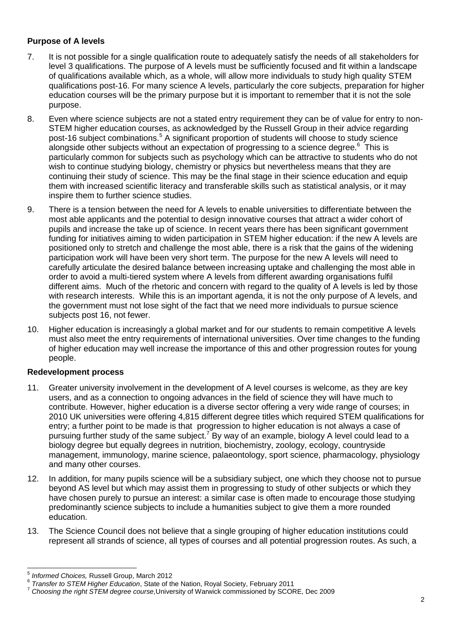# **Purpose of A levels**

- 7. It is not possible for a single qualification route to adequately satisfy the needs of all stakeholders for level 3 qualifications. The purpose of A levels must be sufficiently focused and fit within a landscape of qualifications available which, as a whole, will allow more individuals to study high quality STEM qualifications post-16. For many science A levels, particularly the core subjects, preparation for higher education courses will be the primary purpose but it is important to remember that it is not the sole purpose.
- 8. Even where science subjects are not a stated entry requirement they can be of value for entry to non-STEM higher education courses, as acknowledged by the Russell Group in their advice regarding post-16 subject combinations.<sup>5</sup> A significant proportion of students will choose to study science alongside other subjects without an expectation of progressing to a science degree. $6$  This is particularly common for subjects such as psychology which can be attractive to students who do not wish to continue studying biology, chemistry or physics but nevertheless means that they are continuing their study of science. This may be the final stage in their science education and equip them with increased scientific literacy and transferable skills such as statistical analysis, or it may inspire them to further science studies.
- 9. There is a tension between the need for A levels to enable universities to differentiate between the most able applicants and the potential to design innovative courses that attract a wider cohort of pupils and increase the take up of science. In recent years there has been significant government funding for initiatives aiming to widen participation in STEM higher education: if the new A levels are positioned only to stretch and challenge the most able, there is a risk that the gains of the widening participation work will have been very short term. The purpose for the new A levels will need to carefully articulate the desired balance between increasing uptake and challenging the most able in order to avoid a multi-tiered system where A levels from different awarding organisations fulfil different aims. Much of the rhetoric and concern with regard to the quality of A levels is led by those with research interests. While this is an important agenda, it is not the only purpose of A levels, and the government must not lose sight of the fact that we need more individuals to pursue science subjects post 16, not fewer.
- 10. Higher education is increasingly a global market and for our students to remain competitive A levels must also meet the entry requirements of international universities. Over time changes to the funding of higher education may well increase the importance of this and other progression routes for young people.

# **Redevelopment process**

- 11. Greater university involvement in the development of A level courses is welcome, as they are key users, and as a connection to ongoing advances in the field of science they will have much to contribute. However, higher education is a diverse sector offering a very wide range of courses; in 2010 UK universities were offering 4,815 different degree titles which required STEM qualifications for entry; a further point to be made is that progression to higher education is not always a case of pursuing further study of the same subject.<sup>7</sup> By way of an example, biology A level could lead to a biology degree but equally degrees in nutrition, biochemistry, zoology, ecology, countryside management, immunology, marine science, palaeontology, sport science, pharmacology, physiology and many other courses.
- 12. In addition, for many pupils science will be a subsidiary subject, one which they choose not to pursue beyond AS level but which may assist them in progressing to study of other subjects or which they have chosen purely to pursue an interest: a similar case is often made to encourage those studying predominantly science subjects to include a humanities subject to give them a more rounded education.
- 13. The Science Council does not believe that a single grouping of higher education institutions could represent all strands of science, all types of courses and all potential progression routes. As such, a

 $\frac{1}{5}$ *Informed Choices,* Russell Group, March 2012

<sup>6</sup> *Transfer to STEM Higher Education*, State of the Nation, Royal Society, February 2011

<sup>7</sup> *Choosing the right STEM degree course,*University of Warwick commissioned by SCORE, Dec 2009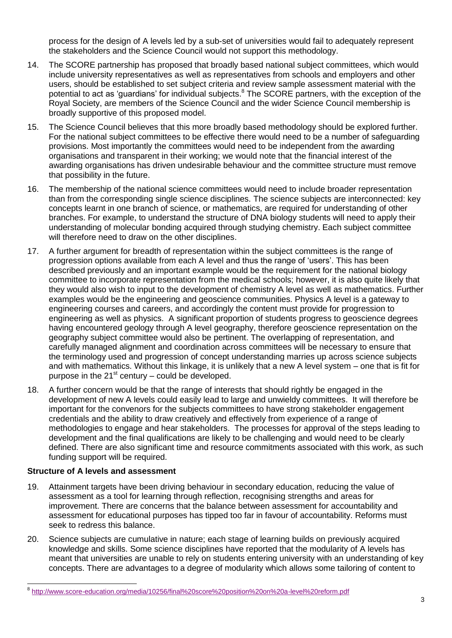process for the design of A levels led by a sub-set of universities would fail to adequately represent the stakeholders and the Science Council would not support this methodology.

- 14. The SCORE partnership has proposed that broadly based national subject committees, which would include university representatives as well as representatives from schools and employers and other users, should be established to set subject criteria and review sample assessment material with the potential to act as 'guardians' for individual subjects.<sup>8</sup> The SCORE partners, with the exception of the Royal Society, are members of the Science Council and the wider Science Council membership is broadly supportive of this proposed model.
- 15. The Science Council believes that this more broadly based methodology should be explored further. For the national subject committees to be effective there would need to be a number of safeguarding provisions. Most importantly the committees would need to be independent from the awarding organisations and transparent in their working; we would note that the financial interest of the awarding organisations has driven undesirable behaviour and the committee structure must remove that possibility in the future.
- 16. The membership of the national science committees would need to include broader representation than from the corresponding single science disciplines. The science subjects are interconnected: key concepts learnt in one branch of science, or mathematics, are required for understanding of other branches. For example, to understand the structure of DNA biology students will need to apply their understanding of molecular bonding acquired through studying chemistry. Each subject committee will therefore need to draw on the other disciplines.
- 17. A further argument for breadth of representation within the subject committees is the range of progression options available from each A level and thus the range of 'users'. This has been described previously and an important example would be the requirement for the national biology committee to incorporate representation from the medical schools; however, it is also quite likely that they would also wish to input to the development of chemistry A level as well as mathematics. Further examples would be the engineering and geoscience communities. Physics A level is a gateway to engineering courses and careers, and accordingly the content must provide for progression to engineering as well as physics. A significant proportion of students progress to geoscience degrees having encountered geology through A level geography, therefore geoscience representation on the geography subject committee would also be pertinent. The overlapping of representation, and carefully managed alignment and coordination across committees will be necessary to ensure that the terminology used and progression of concept understanding marries up across science subjects and with mathematics. Without this linkage, it is unlikely that a new A level system – one that is fit for purpose in the  $21<sup>st</sup>$  century – could be developed.
- 18. A further concern would be that the range of interests that should rightly be engaged in the development of new A levels could easily lead to large and unwieldy committees. It will therefore be important for the convenors for the subjects committees to have strong stakeholder engagement credentials and the ability to draw creatively and effectively from experience of a range of methodologies to engage and hear stakeholders. The processes for approval of the steps leading to development and the final qualifications are likely to be challenging and would need to be clearly defined. There are also significant time and resource commitments associated with this work, as such funding support will be required.

## **Structure of A levels and assessment**

 $\overline{a}$ 

- 19. Attainment targets have been driving behaviour in secondary education, reducing the value of assessment as a tool for learning through reflection, recognising strengths and areas for improvement. There are concerns that the balance between assessment for accountability and assessment for educational purposes has tipped too far in favour of accountability. Reforms must seek to redress this balance.
- 20. Science subjects are cumulative in nature; each stage of learning builds on previously acquired knowledge and skills. Some science disciplines have reported that the modularity of A levels has meant that universities are unable to rely on students entering university with an understanding of key concepts. There are advantages to a degree of modularity which allows some tailoring of content to

<sup>&</sup>lt;sup>8</sup> <http://www.score-education.org/media/10256/final%20score%20position%20on%20a-level%20reform.pdf>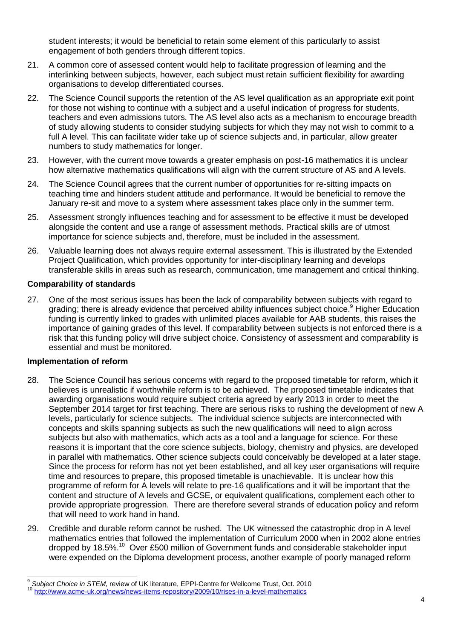student interests; it would be beneficial to retain some element of this particularly to assist engagement of both genders through different topics.

- 21. A common core of assessed content would help to facilitate progression of learning and the interlinking between subjects, however, each subject must retain sufficient flexibility for awarding organisations to develop differentiated courses.
- 22. The Science Council supports the retention of the AS level qualification as an appropriate exit point for those not wishing to continue with a subject and a useful indication of progress for students, teachers and even admissions tutors. The AS level also acts as a mechanism to encourage breadth of study allowing students to consider studying subjects for which they may not wish to commit to a full A level. This can facilitate wider take up of science subjects and, in particular, allow greater numbers to study mathematics for longer.
- 23. However, with the current move towards a greater emphasis on post-16 mathematics it is unclear how alternative mathematics qualifications will align with the current structure of AS and A levels.
- 24. The Science Council agrees that the current number of opportunities for re-sitting impacts on teaching time and hinders student attitude and performance. It would be beneficial to remove the January re-sit and move to a system where assessment takes place only in the summer term.
- 25. Assessment strongly influences teaching and for assessment to be effective it must be developed alongside the content and use a range of assessment methods. Practical skills are of utmost importance for science subjects and, therefore, must be included in the assessment.
- 26. Valuable learning does not always require external assessment. This is illustrated by the Extended Project Qualification, which provides opportunity for inter-disciplinary learning and develops transferable skills in areas such as research, communication, time management and critical thinking.

## **Comparability of standards**

27. One of the most serious issues has been the lack of comparability between subjects with regard to grading; there is already evidence that perceived ability influences subject choice.<sup>9</sup> Higher Education funding is currently linked to grades with unlimited places available for AAB students, this raises the importance of gaining grades of this level. If comparability between subjects is not enforced there is a risk that this funding policy will drive subject choice. Consistency of assessment and comparability is essential and must be monitored.

### **Implementation of reform**

- 28. The Science Council has serious concerns with regard to the proposed timetable for reform, which it believes is unrealistic if worthwhile reform is to be achieved. The proposed timetable indicates that awarding organisations would require subject criteria agreed by early 2013 in order to meet the September 2014 target for first teaching. There are serious risks to rushing the development of new A levels, particularly for science subjects. The individual science subjects are interconnected with concepts and skills spanning subjects as such the new qualifications will need to align across subjects but also with mathematics, which acts as a tool and a language for science. For these reasons it is important that the core science subjects, biology, chemistry and physics, are developed in parallel with mathematics. Other science subjects could conceivably be developed at a later stage. Since the process for reform has not yet been established, and all key user organisations will require time and resources to prepare, this proposed timetable is unachievable. It is unclear how this programme of reform for A levels will relate to pre-16 qualifications and it will be important that the content and structure of A levels and GCSE, or equivalent qualifications, complement each other to provide appropriate progression. There are therefore several strands of education policy and reform that will need to work hand in hand.
- 29. Credible and durable reform cannot be rushed. The UK witnessed the catastrophic drop in A level mathematics entries that followed the implementation of Curriculum 2000 when in 2002 alone entries dropped by 18.5%.<sup>10</sup> Over £500 million of Government funds and considerable stakeholder input were expended on the Diploma development process, another example of poorly managed reform

 $\overline{a}$ 9 *Subject Choice in STEM,* review of UK literature, EPPI-Centre for Wellcome Trust, Oct. 2010 <http://www.acme-uk.org/news/news-items-repository/2009/10/rises-in-a-level-mathematics>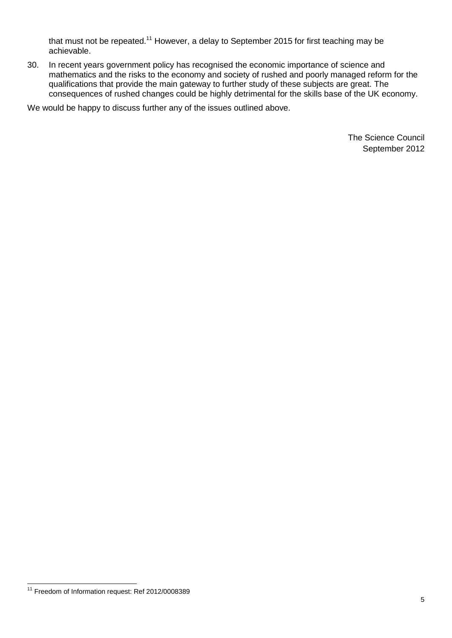that must not be repeated.<sup>11</sup> However, a delay to September 2015 for first teaching may be achievable.

30. In recent years government policy has recognised the economic importance of science and mathematics and the risks to the economy and society of rushed and poorly managed reform for the qualifications that provide the main gateway to further study of these subjects are great. The consequences of rushed changes could be highly detrimental for the skills base of the UK economy.

We would be happy to discuss further any of the issues outlined above.

The Science Council September 2012

 $\overline{1}$ <sup>11</sup> Freedom of Information request: Ref 2012/0008389